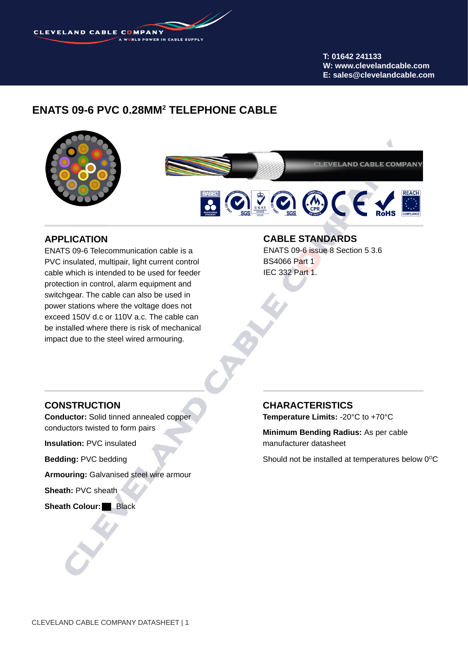**CLEVELAND CABLE COMPANY** 

**T: 01642 241133 W: www.clevelandcable.com E: sales@clevelandcable.com**

### **ENATS 09-6 PVC 0.28MM2 TELEPHONE CABLE**



### **APPLICATION**

ENATS 09-6 Telecommunication cable is a PVC insulated, multipair, light current control cable which is intended to be used for feeder protection in control, alarm equipment and switchgear. The cable can also be used in power stations where the voltage does not exceed 150V d.c or 110V a.c. The cable can be installed where there is risk of mechanical impact due to the steel wired armouring.

#### **CABLE STANDARDS**

ENATS 09-6 issue 8 Section 5 3.6 BS4066 Part 1 IEC 332 Part 1.

#### **CONSTRUCTION**

**Conductor:** Solid tinned annealed copper conductors twisted to form pairs

**Insulation:** PVC insulated

**Bedding:** PVC bedding

**Armouring:** Galvanised steel wire armour

**Sheath:** PVC sheath

**Sheath Colour: Black** 

## **CHARACTERISTICS**

**Temperature Limits:** -20°C to +70°C

**Minimum Bending Radius:** As per cable manufacturer datasheet

Should not be installed at temperatures below  $0^{\circ}$ C